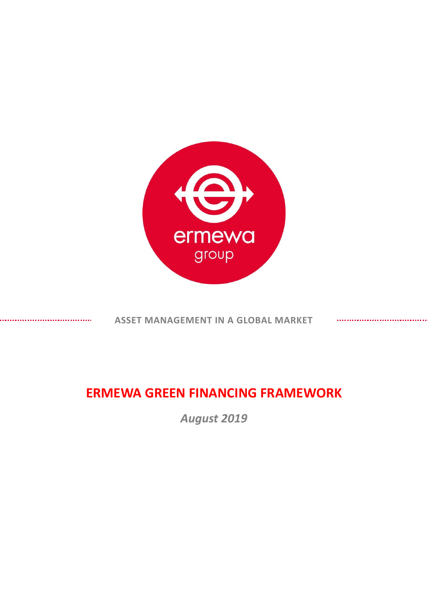

**ASSET MANAGEMENT IN A GLOBAL MARKET**

# **ERMEWA GREEN FINANCING FRAMEWORK**

*August 2019*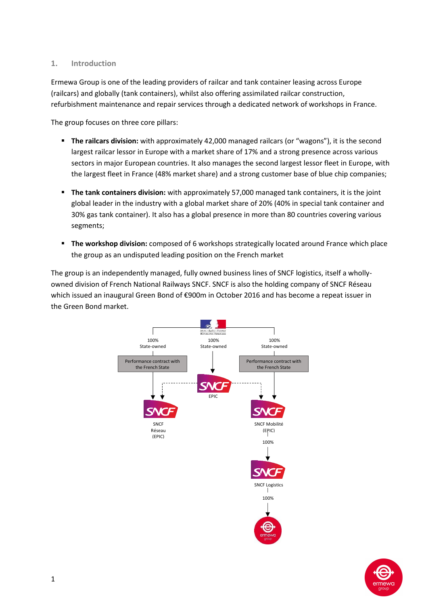### **1. Introduction**

Ermewa Group is one of the leading providers of railcar and tank container leasing across Europe (railcars) and globally (tank containers), whilst also offering assimilated railcar construction, refurbishment maintenance and repair services through a dedicated network of workshops in France.

The group focuses on three core pillars:

- **The railcars division:** with approximately 42,000 managed railcars (or "wagons"), it is the second largest railcar lessor in Europe with a market share of 17% and a strong presence across various sectors in major European countries. It also manages the second largest lessor fleet in Europe, with the largest fleet in France (48% market share) and a strong customer base of blue chip companies;
- **The tank containers division:** with approximately 57,000 managed tank containers, it is the joint global leader in the industry with a global market share of 20% (40% in special tank container and 30% gas tank container). It also has a global presence in more than 80 countries covering various segments;
- **The workshop division:** composed of 6 workshops strategically located around France which place the group as an undisputed leading position on the French market

The group is an independently managed, fully owned business lines of SNCF logistics, itself a whollyowned division of French National Railways SNCF. SNCF is also the holding company of SNCF Réseau which issued an inaugural Green Bond of €900m in October 2016 and has become a repeat issuer in the Green Bond market.



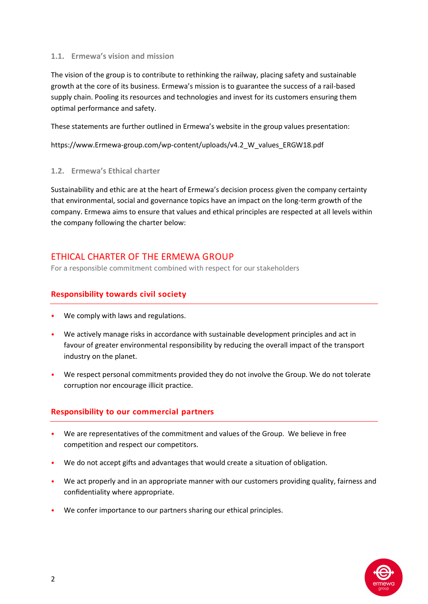#### **1.1. Ermewa's vision and mission**

The vision of the group is to contribute to rethinking the railway, placing safety and sustainable growth at the core of its business. Ermewa's mission is to guarantee the success of a rail-based supply chain. Pooling its resources and technologies and invest for its customers ensuring them optimal performance and safety.

These statements are further outlined in Ermewa's website in the group values presentation:

https://www.Ermewa-group.com/wp-content/uploads/v4.2\_W\_values\_ERGW18.pdf

#### **1.2. Ermewa's Ethical charter**

Sustainability and ethic are at the heart of Ermewa's decision process given the company certainty that environmental, social and governance topics have an impact on the long-term growth of the company. Ermewa aims to ensure that values and ethical principles are respected at all levels within the company following the charter below:

# ETHICAL CHARTER OF THE ERMEWA GROUP

For a responsible commitment combined with respect for our stakeholders

## **Responsibility towards civil society**

- We comply with laws and regulations.
- We actively manage risks in accordance with sustainable development principles and act in favour of greater environmental responsibility by reducing the overall impact of the transport industry on the planet.
- We respect personal commitments provided they do not involve the Group. We do not tolerate corruption nor encourage illicit practice.

## **Responsibility to our commercial partners**

- We are representatives of the commitment and values of the Group. We believe in free competition and respect our competitors.
- We do not accept gifts and advantages that would create a situation of obligation.
- We act properly and in an appropriate manner with our customers providing quality, fairness and confidentiality where appropriate.
- We confer importance to our partners sharing our ethical principles.

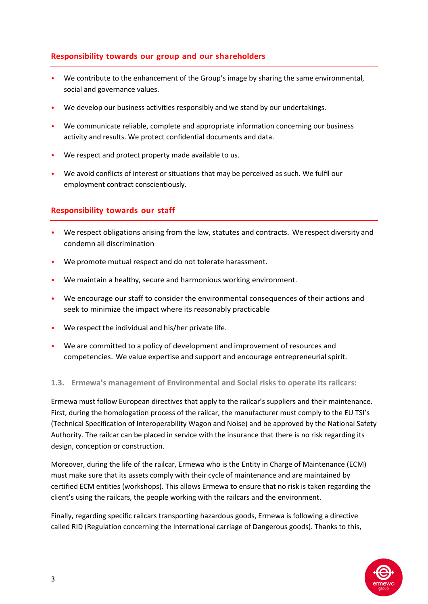### **Responsibility towards our group and our shareholders**

- We contribute to the enhancement of the Group's image by sharing the same environmental, social and governance values.
- We develop our business activities responsibly and we stand by our undertakings.
- We communicate reliable, complete and appropriate information concerning our business activity and results. We protect confidential documents and data.
- We respect and protect property made available to us.
- We avoid conflicts of interest or situations that may be perceived as such. We fulfil our employment contract conscientiously.

### **Responsibility towards our staff**

- We respect obligations arising from the law, statutes and contracts. We respect diversity and condemn all discrimination
- We promote mutual respect and do not tolerate harassment.
- We maintain a healthy, secure and harmonious working environment.
- We encourage our staff to consider the environmental consequences of their actions and seek to minimize the impact where its reasonably practicable
- $\bullet$  We respect the individual and his/her private life.
- We are committed to a policy of development and improvement of resources and competencies. We value expertise and support and encourage entrepreneurial spirit.

#### **1.3. Ermewa's management of Environmental and Social risks to operate its railcars:**

Ermewa must follow European directives that apply to the railcar's suppliers and their maintenance. First, during the homologation process of the railcar, the manufacturer must comply to the EU TSI's (Technical Specification of Interoperability Wagon and Noise) and be approved by the National Safety Authority. The railcar can be placed in service with the insurance that there is no risk regarding its design, conception or construction.

Moreover, during the life of the railcar, Ermewa who is the Entity in Charge of Maintenance (ECM) must make sure that its assets comply with their cycle of maintenance and are maintained by certified ECM entities (workshops). This allows Ermewa to ensure that no risk is taken regarding the client's using the railcars, the people working with the railcars and the environment.

Finally, regarding specific railcars transporting hazardous goods, Ermewa is following a directive called RID (Regulation concerning the International carriage of Dangerous goods). Thanks to this,

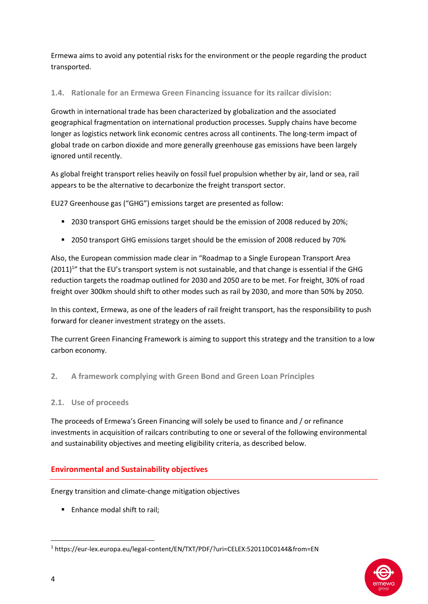Ermewa aims to avoid any potential risks for the environment or the people regarding the product transported.

## **1.4. Rationale for an Ermewa Green Financing issuance for its railcar division:**

Growth in international trade has been characterized by globalization and the associated geographical fragmentation on international production processes. Supply chains have become longer as logistics network link economic centres across all continents. The long-term impact of global trade on carbon dioxide and more generally greenhouse gas emissions have been largely ignored until recently.

As global freight transport relies heavily on fossil fuel propulsion whether by air, land or sea, rail appears to be the alternative to decarbonize the freight transport sector.

EU27 Greenhouse gas ("GHG") emissions target are presented as follow:

- <sup>2</sup> 2030 transport GHG emissions target should be the emission of 2008 reduced by 20%;
- 2050 transport GHG emissions target should be the emission of 2008 reduced by 70%

Also, the European commission made clear in "Roadmap to a Single European Transport Area  $(2011)^{1}$ " that the EU's transport system is not sustainable, and that change is essential if the GHG reduction targets the roadmap outlined for 2030 and 2050 are to be met. For freight, 30% of road freight over 300km should shift to other modes such as rail by 2030, and more than 50% by 2050.

In this context, Ermewa, as one of the leaders of rail freight transport, has the responsibility to push forward for cleaner investment strategy on the assets.

The current Green Financing Framework is aiming to support this strategy and the transition to a low carbon economy.

**2. A framework complying with Green Bond and Green Loan Principles**

#### **2.1. Use of proceeds**

The proceeds of Ermewa's Green Financing will solely be used to finance and / or refinance investments in acquisition of railcars contributing to one or several of the following environmental and sustainability objectives and meeting eligibility criteria, as described below.

## **Environmental and Sustainability objectives**

Energy transition and climate-change mitigation objectives

**Enhance modal shift to rail:** 



 $\overline{\phantom{a}}$ 

<sup>1</sup> https://eur-lex.europa.eu/legal-content/EN/TXT/PDF/?uri=CELEX:52011DC0144&from=EN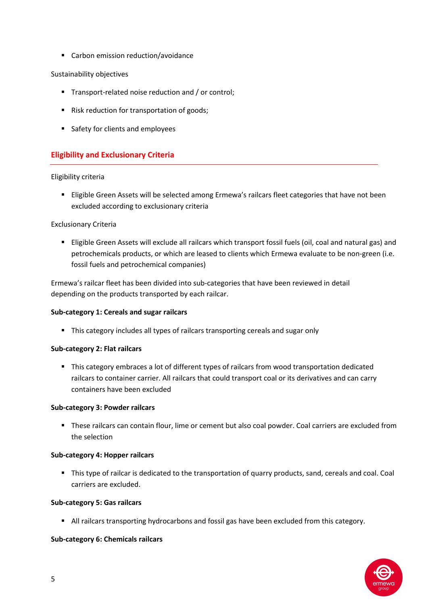■ Carbon emission reduction/avoidance

#### Sustainability objectives

- Transport-related noise reduction and / or control:
- Risk reduction for transportation of goods;
- Safety for clients and employees

# **Eligibility and Exclusionary Criteria**

#### Eligibility criteria

 Eligible Green Assets will be selected among Ermewa's railcars fleet categories that have not been excluded according to exclusionary criteria

### Exclusionary Criteria

 Eligible Green Assets will exclude all railcars which transport fossil fuels (oil, coal and natural gas) and petrochemicals products, or which are leased to clients which Ermewa evaluate to be non-green (i.e. fossil fuels and petrochemical companies)

Ermewa's railcar fleet has been divided into sub-categories that have been reviewed in detail depending on the products transported by each railcar.

#### **Sub-category 1: Cereals and sugar railcars**

This category includes all types of railcars transporting cereals and sugar only

#### **Sub-category 2: Flat railcars**

 This category embraces a lot of different types of railcars from wood transportation dedicated railcars to container carrier. All railcars that could transport coal or its derivatives and can carry containers have been excluded

#### **Sub-category 3: Powder railcars**

 These railcars can contain flour, lime or cement but also coal powder. Coal carriers are excluded from the selection

#### **Sub-category 4: Hopper railcars**

 This type of railcar is dedicated to the transportation of quarry products, sand, cereals and coal. Coal carriers are excluded.

#### **Sub-category 5: Gas railcars**

All railcars transporting hydrocarbons and fossil gas have been excluded from this category.

#### **Sub-category 6: Chemicals railcars**

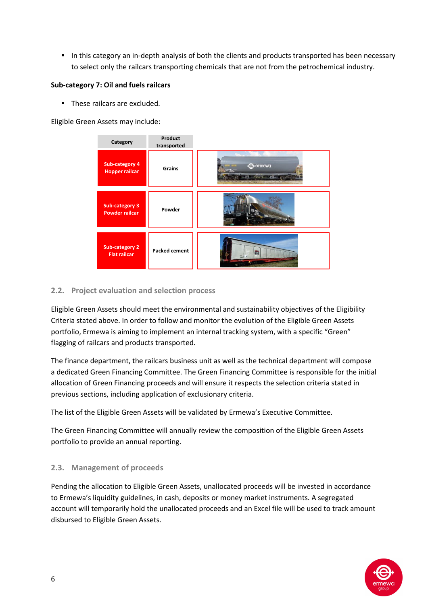In this category an in-depth analysis of both the clients and products transported has been necessary to select only the railcars transporting chemicals that are not from the petrochemical industry.

#### **Sub-category 7: Oil and fuels railcars**

**These railcars are excluded.** 

Eligible Green Assets may include:



## **2.2. Project evaluation and selection process**

Eligible Green Assets should meet the environmental and sustainability objectives of the Eligibility Criteria stated above. In order to follow and monitor the evolution of the Eligible Green Assets portfolio, Ermewa is aiming to implement an internal tracking system, with a specific "Green" flagging of railcars and products transported.

The finance department, the railcars business unit as well as the technical department will compose a dedicated Green Financing Committee. The Green Financing Committee is responsible for the initial allocation of Green Financing proceeds and will ensure it respects the selection criteria stated in previous sections, including application of exclusionary criteria.

The list of the Eligible Green Assets will be validated by Ermewa's Executive Committee.

The Green Financing Committee will annually review the composition of the Eligible Green Assets portfolio to provide an annual reporting.

## **2.3. Management of proceeds**

Pending the allocation to Eligible Green Assets, unallocated proceeds will be invested in accordance to Ermewa's liquidity guidelines, in cash, deposits or money market instruments. A segregated account will temporarily hold the unallocated proceeds and an Excel file will be used to track amount disbursed to Eligible Green Assets.